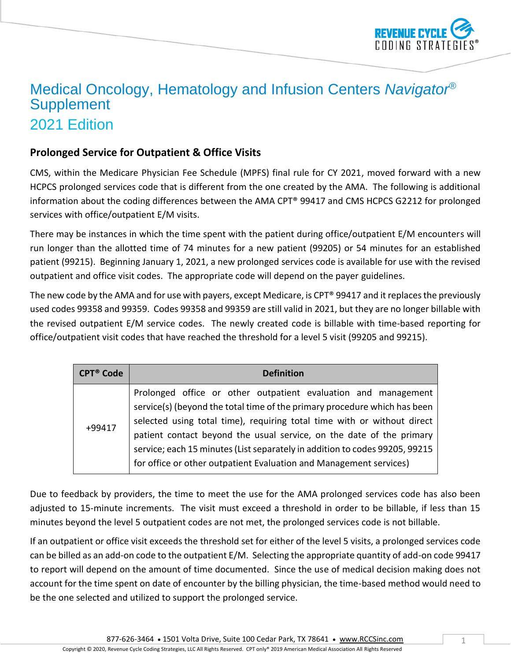

# Medical Oncology, Hematology and Infusion Centers *Navigator®* **Supplement** 2021 Edition

## **Prolonged Service for Outpatient & Office Visits**

CMS, within the Medicare Physician Fee Schedule (MPFS) final rule for CY 2021, moved forward with a new HCPCS prolonged services code that is different from the one created by the AMA. The following is additional information about the coding differences between the AMA CPT® 99417 and CMS HCPCS G2212 for prolonged services with office/outpatient E/M visits.

There may be instances in which the time spent with the patient during office/outpatient E/M encounters will run longer than the allotted time of 74 minutes for a new patient (99205) or 54 minutes for an established patient (99215). Beginning January 1, 2021, a new prolonged services code is available for use with the revised outpatient and office visit codes. The appropriate code will depend on the payer guidelines.

The new code by the AMA and for use with payers, except Medicare, is CPT® 99417 and it replaces the previously used codes 99358 and 99359. Codes 99358 and 99359 are still valid in 2021, but they are no longer billable with the revised outpatient E/M service codes. The newly created code is billable with time-based reporting for office/outpatient visit codes that have reached the threshold for a level 5 visit (99205 and 99215).

| <b>CPT<sup>®</sup> Code</b> | <b>Definition</b>                                                                                                                                                                                                                                                                                                                                                                                                                                   |
|-----------------------------|-----------------------------------------------------------------------------------------------------------------------------------------------------------------------------------------------------------------------------------------------------------------------------------------------------------------------------------------------------------------------------------------------------------------------------------------------------|
| +99417                      | Prolonged office or other outpatient evaluation and management<br>service(s) (beyond the total time of the primary procedure which has been<br>selected using total time), requiring total time with or without direct<br>patient contact beyond the usual service, on the date of the primary<br>service; each 15 minutes (List separately in addition to codes 99205, 99215<br>for office or other outpatient Evaluation and Management services) |

Due to feedback by providers, the time to meet the use for the AMA prolonged services code has also been adjusted to 15-minute increments. The visit must exceed a threshold in order to be billable, if less than 15 minutes beyond the level 5 outpatient codes are not met, the prolonged services code is not billable.

If an outpatient or office visit exceeds the threshold set for either of the level 5 visits, a prolonged services code can be billed as an add-on code to the outpatient E/M. Selecting the appropriate quantity of add-on code 99417 to report will depend on the amount of time documented. Since the use of medical decision making does not account for the time spent on date of encounter by the billing physician, the time-based method would need to be the one selected and utilized to support the prolonged service.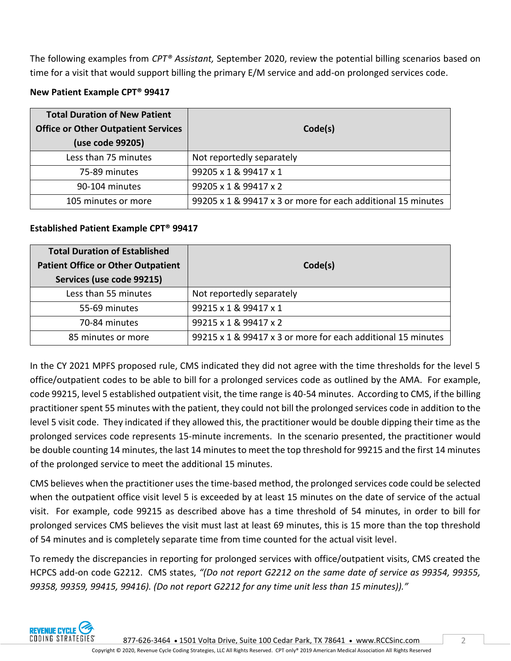The following examples from *CPT® Assistant,* September 2020, review the potential billing scenarios based on time for a visit that would support billing the primary E/M service and add-on prolonged services code.

### **New Patient Example CPT® 99417**

| <b>Total Duration of New Patient</b><br><b>Office or Other Outpatient Services</b><br>(use code 99205) | Code(s)                                                      |
|--------------------------------------------------------------------------------------------------------|--------------------------------------------------------------|
| Less than 75 minutes                                                                                   | Not reportedly separately                                    |
| 75-89 minutes                                                                                          | 99205 x 1 & 99417 x 1                                        |
| 90-104 minutes                                                                                         | 99205 x 1 & 99417 x 2                                        |
| 105 minutes or more                                                                                    | 99205 x 1 & 99417 x 3 or more for each additional 15 minutes |

#### **Established Patient Example CPT® 99417**

| <b>Total Duration of Established</b><br><b>Patient Office or Other Outpatient</b><br>Services (use code 99215) | Code(s)                                                      |
|----------------------------------------------------------------------------------------------------------------|--------------------------------------------------------------|
| Less than 55 minutes                                                                                           | Not reportedly separately                                    |
| 55-69 minutes                                                                                                  | 99215 x 1 & 99417 x 1                                        |
| 70-84 minutes                                                                                                  | 99215 x 1 & 99417 x 2                                        |
| 85 minutes or more                                                                                             | 99215 x 1 & 99417 x 3 or more for each additional 15 minutes |

In the CY 2021 MPFS proposed rule, CMS indicated they did not agree with the time thresholds for the level 5 office/outpatient codes to be able to bill for a prolonged services code as outlined by the AMA. For example, code 99215, level 5 established outpatient visit, the time range is 40-54 minutes. According to CMS, if the billing practitioner spent 55 minutes with the patient, they could not bill the prolonged services code in addition to the level 5 visit code. They indicated if they allowed this, the practitioner would be double dipping their time as the prolonged services code represents 15-minute increments. In the scenario presented, the practitioner would be double counting 14 minutes, the last 14 minutes to meet the top threshold for 99215 and the first 14 minutes of the prolonged service to meet the additional 15 minutes.

CMS believes when the practitioner uses the time-based method, the prolonged services code could be selected when the outpatient office visit level 5 is exceeded by at least 15 minutes on the date of service of the actual visit. For example, code 99215 as described above has a time threshold of 54 minutes, in order to bill for prolonged services CMS believes the visit must last at least 69 minutes, this is 15 more than the top threshold of 54 minutes and is completely separate time from time counted for the actual visit level.

To remedy the discrepancies in reporting for prolonged services with office/outpatient visits, CMS created the HCPCS add-on code G2212. CMS states, *"(Do not report G2212 on the same date of service as 99354, 99355, 99358, 99359, 99415, 99416). (Do not report G2212 for any time unit less than 15 minutes))."*

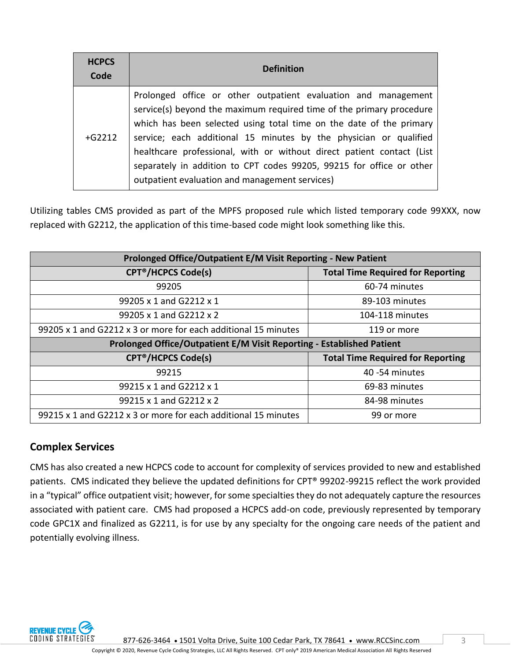| <b>HCPCS</b><br>Code | <b>Definition</b>                                                                                                                                                                                                                                                                                                                                                                                                                                                                     |
|----------------------|---------------------------------------------------------------------------------------------------------------------------------------------------------------------------------------------------------------------------------------------------------------------------------------------------------------------------------------------------------------------------------------------------------------------------------------------------------------------------------------|
| $+G2212$             | Prolonged office or other outpatient evaluation and management<br>service(s) beyond the maximum required time of the primary procedure<br>which has been selected using total time on the date of the primary<br>service; each additional 15 minutes by the physician or qualified<br>healthcare professional, with or without direct patient contact (List<br>separately in addition to CPT codes 99205, 99215 for office or other<br>outpatient evaluation and management services) |

Utilizing tables CMS provided as part of the MPFS proposed rule which listed temporary code 99XXX, now replaced with G2212, the application of this time-based code might look something like this.

| Prolonged Office/Outpatient E/M Visit Reporting - New Patient         |                                          |  |  |  |
|-----------------------------------------------------------------------|------------------------------------------|--|--|--|
| <b>CPT<sup>®</sup>/HCPCS Code(s)</b>                                  | <b>Total Time Required for Reporting</b> |  |  |  |
| 99205                                                                 | 60-74 minutes                            |  |  |  |
| 99205 x 1 and G2212 x 1                                               | 89-103 minutes                           |  |  |  |
| 99205 x 1 and G2212 x 2                                               | 104-118 minutes                          |  |  |  |
| 99205 x 1 and G2212 x 3 or more for each additional 15 minutes        | 119 or more                              |  |  |  |
| Prolonged Office/Outpatient E/M Visit Reporting - Established Patient |                                          |  |  |  |
| <b>CPT<sup>®</sup>/HCPCS Code(s)</b>                                  | <b>Total Time Required for Reporting</b> |  |  |  |
| 99215                                                                 | 40 -54 minutes                           |  |  |  |
| 99215 x 1 and G2212 x 1                                               | 69-83 minutes                            |  |  |  |
| 99215 x 1 and G2212 x 2                                               | 84-98 minutes                            |  |  |  |
| 99215 x 1 and G2212 x 3 or more for each additional 15 minutes        | 99 or more                               |  |  |  |

## **Complex Services**

CMS has also created a new HCPCS code to account for complexity of services provided to new and established patients. CMS indicated they believe the updated definitions for CPT® 99202-99215 reflect the work provided in a "typical" office outpatient visit; however, for some specialties they do not adequately capture the resources associated with patient care. CMS had proposed a HCPCS add-on code, previously represented by temporary code GPC1X and finalized as G2211, is for use by any specialty for the ongoing care needs of the patient and potentially evolving illness.